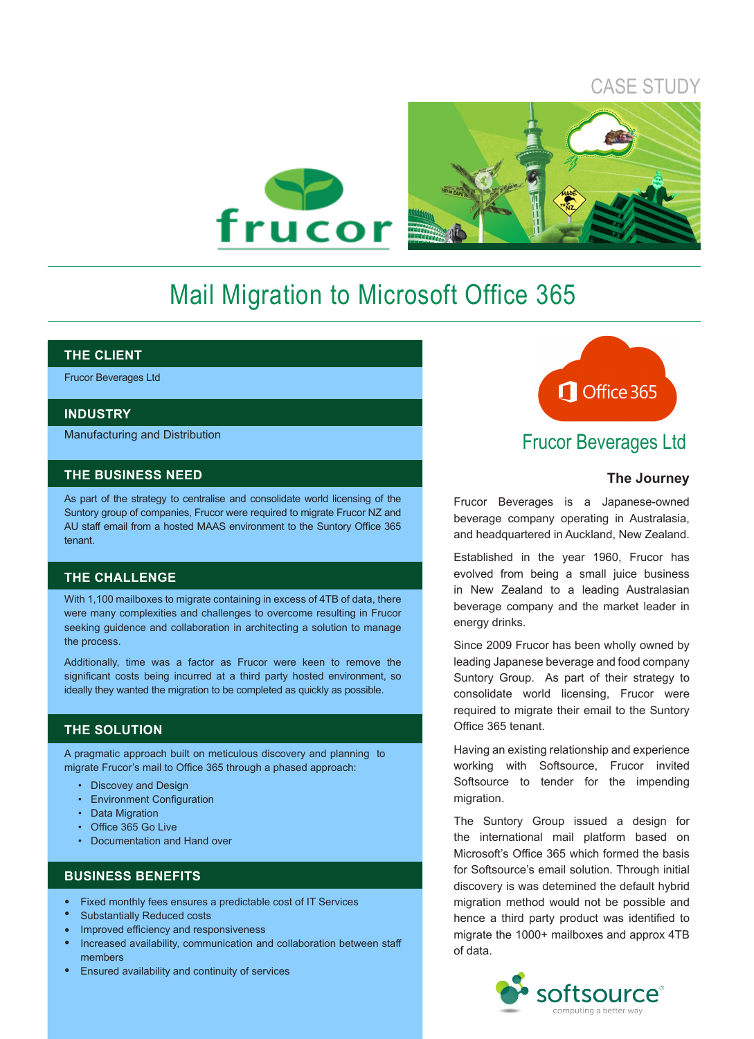# CASE STUDY



# Mail Migration to Microsoft Office 365

#### **THE CLIENT**

Frucor Beverages Ltd

#### **INDUSTRY**

Manufacturing and Distribution

#### **THE BUSINESS NEED**

As part of the strategy to centralise and consolidate world licensing of the Suntory group of companies, Frucor were required to migrate Frucor NZ and AU staff email from a hosted MAAS environment to the Suntory Office 365 tenant.

#### **THE CHALLENGE**

With 1,100 mailboxes to migrate containing in excess of 4TB of data, there were many complexities and challenges to overcome resulting in Frucor seeking guidence and collaboration in architecting a solution to manage the process.

Additionally, time was a factor as Frucor were keen to remove the significant costs being incurred at a third party hosted environment, so ideally they wanted the migration to be completed as quickly as possible.

#### **THE SOLUTION**

A pragmatic approach built on meticulous discovery and planning to migrate Frucor's mail to Office 365 through a phased approach:

- Discovey and Design
- Environment Configuration
- Data Migration
- Office 365 Go Live
- Documentation and Hand over

### **BUSINESS BENEFITS**

- Fixed monthly fees ensures a predictable cost of IT Services •
- Substantially Reduced costs •
- Improved efficiency and responsiveness •
- Increased availability, communication and collaboration between staff members •
- Ensured availability and continuity of services •



# Frucor Beverages Ltd

#### **The Journey**

Frucor Beverages is a Japanese-owned beverage company operating in Australasia, and headquartered in Auckland, New Zealand.

Established in the year 1960, Frucor has evolved from being a small juice business in New Zealand to a leading Australasian beverage company and the market leader in energy drinks.

Since 2009 Frucor has been wholly owned by leading Japanese beverage and food company Suntory Group. As part of their strategy to consolidate world licensing, Frucor were required to migrate their email to the Suntory Office 365 tenant.

Having an existing relationship and experience working with Softsource, Frucor invited Softsource to tender for the impending migration.

The Suntory Group issued a design for the international mail platform based on Microsoft's Office 365 which formed the basis for Softsource's email solution. Through initial discovery is was detemined the default hybrid migration method would not be possible and hence a third party product was identified to migrate the 1000+ mailboxes and approx 4TB of data.